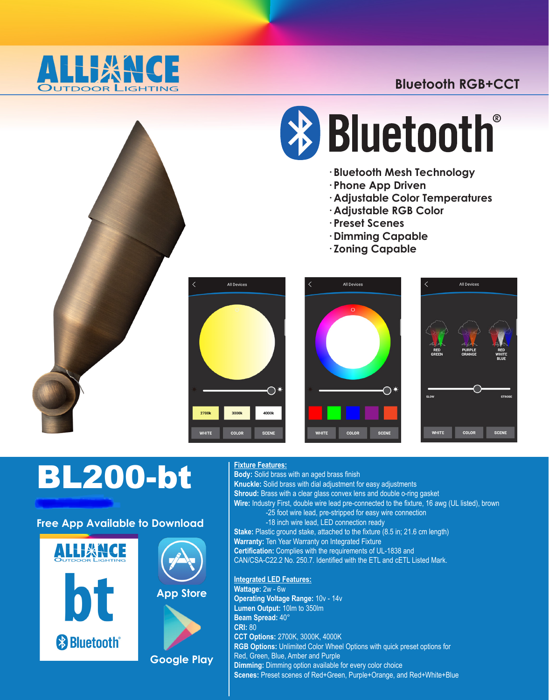

# **Bluetooth RGB+CCT**



# **\* Bluetooth**

- **· Bluetooth Mesh Technology**
- **· Phone App Driven**
- **· Adjustable Color Temperatures**
- **· Adjustable RGB Color**
- **· Preset Scenes**
- **· Dimming Capable**
- **· Zoning Capable**



# BL200-bt

## **Free App Available to Download**



**List Price: \$175.00**



**Google Play**

#### **Fixture Features:**

**Body:** Solid brass with an aged brass finish **Knuckle:** Solid brass with dial adjustment for easy adjustments **Shroud:** Brass with a clear glass convex lens and double o-ring gasket **Wire:** Industry First, double wire lead pre-connected to the fixture, 16 awg (UL listed), brown -25 foot wire lead, pre-stripped for easy wire connection -18 inch wire lead, LED connection ready **Stake:** Plastic ground stake, attached to the fixture (8.5 in; 21.6 cm length) **Warranty:** Ten Year Warranty on Integrated Fixture **Certification:** Complies with the requirements of UL-1838 and CAN/CSA-C22.2 No. 250.7. Identified with the ETL and cETL Listed Mark.

# **Integrated LED Features:**

**Wattage:** 2w - 6w **Operating Voltage Range:** 10v - 14v **Lumen Output:** 10lm to 350lm **Beam Spread:** 40° **CRI:** 80 **CCT Options:** 2700K, 3000K, 4000K **RGB Options:** Unlimited Color Wheel Options with quick preset options for Red, Green, Blue, Amber and Purple **Dimming:** Dimming option available for every color choice **Scenes:** Preset scenes of Red+Green, Purple+Orange, and Red+White+Blue